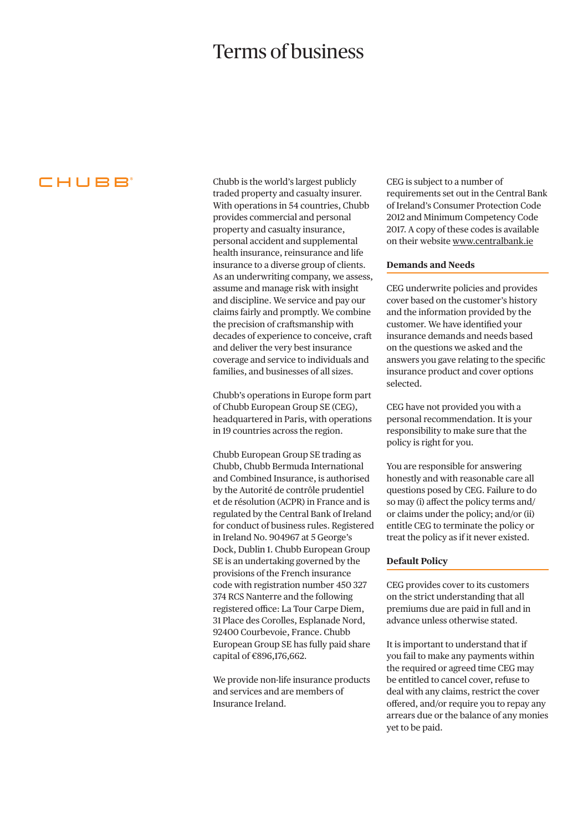# Terms of business

CHUBB<sup>®</sup>

Chubb is the world's largest publicly traded property and casualty insurer. With operations in 54 countries, Chubb provides commercial and personal property and casualty insurance, personal accident and supplemental health insurance, reinsurance and life insurance to a diverse group of clients. As an underwriting company, we assess, assume and manage risk with insight and discipline. We service and pay our claims fairly and promptly. We combine the precision of craftsmanship with decades of experience to conceive, craft and deliver the very best insurance coverage and service to individuals and families, and businesses of all sizes.

Chubb's operations in Europe form part of Chubb European Group SE (CEG), headquartered in Paris, with operations in 19 countries across the region.

Chubb European Group SE trading as Chubb, Chubb Bermuda International and Combined Insurance, is authorised by the Autorité de contrôle prudentiel et de résolution (ACPR) in France and is regulated by the Central Bank of Ireland for conduct of business rules. Registered in Ireland No. 904967 at 5 George's Dock, Dublin 1. Chubb European Group SE is an undertaking governed by the provisions of the French insurance code with registration number 450 327 374 RCS Nanterre and the following registered office: La Tour Carpe Diem, 31 Place des Corolles, Esplanade Nord, 92400 Courbevoie, France. Chubb European Group SE has fully paid share capital of €896,176,662.

We provide non-life insurance products and services and are members of Insurance Ireland.

CEG is subject to a number of requirements set out in the Central Bank of Ireland's Consumer Protection Code 2012 and Minimum Competency Code 2017. A copy of these codes is available on their website [www.centralbank.ie](http://www.centralbank.ie)

#### **Demands and Needs**

CEG underwrite policies and provides cover based on the customer's history and the information provided by the customer. We have identified your insurance demands and needs based on the questions we asked and the answers you gave relating to the specific insurance product and cover options selected.

CEG have not provided you with a personal recommendation. It is your responsibility to make sure that the policy is right for you.

You are responsible for answering honestly and with reasonable care all questions posed by CEG. Failure to do so may (i) affect the policy terms and/ or claims under the policy; and/or (ii) entitle CEG to terminate the policy or treat the policy as if it never existed.

#### **Default Policy**

CEG provides cover to its customers on the strict understanding that all premiums due are paid in full and in advance unless otherwise stated.

It is important to understand that if you fail to make any payments within the required or agreed time CEG may be entitled to cancel cover, refuse to deal with any claims, restrict the cover offered, and/or require you to repay any arrears due or the balance of any monies yet to be paid.